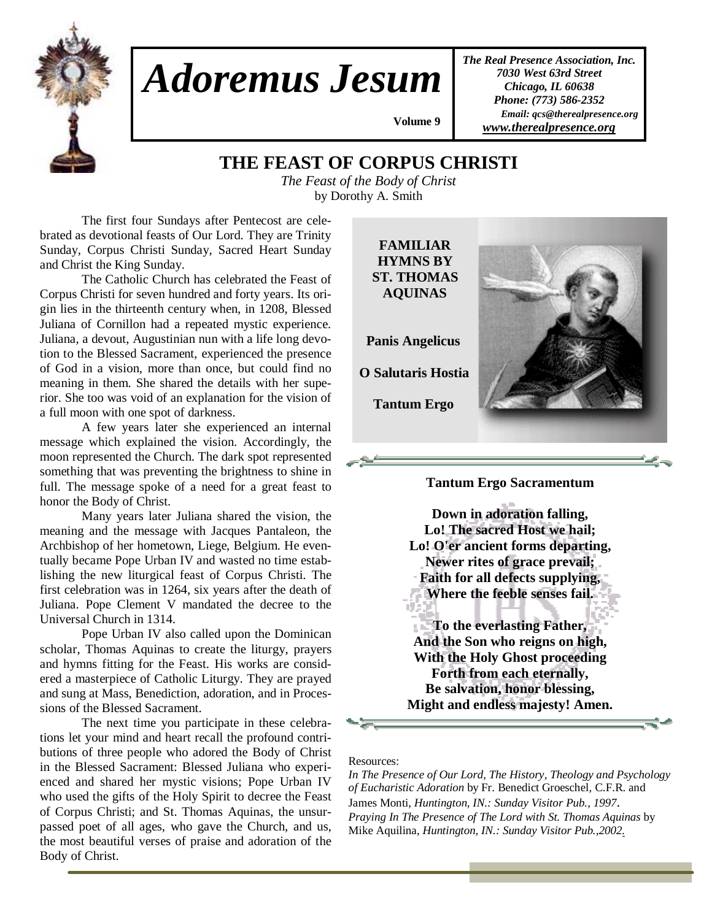

## *Adoremus Jesum*

*The Real Presence Association, Inc. 7030 West 63rd Street Chicago, IL 60638 Phone: (773) 586-2352 Email: qcs@therealpresence.org www.therealpresence.org*

 **Volume 9 ,**

### **THE FEAST OF CORPUS CHRISTI**

*The Feast of the Body of Christ*  by Dorothy A. Smith

 The first four Sundays after Pentecost are celebrated as devotional feasts of Our Lord. They are Trinity Sunday, Corpus Christi Sunday, Sacred Heart Sunday and Christ the King Sunday.

 The Catholic Church has celebrated the Feast of Corpus Christi for seven hundred and forty years. Its origin lies in the thirteenth century when, in 1208, Blessed Juliana of Cornillon had a repeated mystic experience. Juliana, a devout, Augustinian nun with a life long devotion to the Blessed Sacrament, experienced the presence of God in a vision, more than once, but could find no meaning in them. She shared the details with her superior. She too was void of an explanation for the vision of a full moon with one spot of darkness.

 A few years later she experienced an internal message which explained the vision. Accordingly, the moon represented the Church. The dark spot represented something that was preventing the brightness to shine in full. The message spoke of a need for a great feast to honor the Body of Christ.

 Many years later Juliana shared the vision, the meaning and the message with Jacques Pantaleon, the Archbishop of her hometown, Liege, Belgium. He eventually became Pope Urban IV and wasted no time establishing the new liturgical feast of Corpus Christi. The first celebration was in 1264, six years after the death of Juliana. Pope Clement V mandated the decree to the Universal Church in 1314.

 Pope Urban IV also called upon the Dominican scholar, Thomas Aquinas to create the liturgy, prayers and hymns fitting for the Feast. His works are considered a masterpiece of Catholic Liturgy. They are prayed and sung at Mass, Benediction, adoration, and in Processions of the Blessed Sacrament.

 The next time you participate in these celebrations let your mind and heart recall the profound contributions of three people who adored the Body of Christ in the Blessed Sacrament: Blessed Juliana who experienced and shared her mystic visions; Pope Urban IV who used the gifts of the Holy Spirit to decree the Feast of Corpus Christi; and St. Thomas Aquinas, the unsurpassed poet of all ages, who gave the Church, and us, the most beautiful verses of praise and adoration of the Body of Christ.



#### **Tantum Ergo Sacramentum**

**Down in adoration falling, Lo! The sacred Host we hail; Lo! O'er ancient forms departing, Newer rites of grace prevail; Faith for all defects supplying, Where the feeble senses fail. To the everlasting Father, And the Son who reigns on high, With the Holy Ghost proceeding Forth from each eternally, Be salvation, honor blessing, Might and endless majesty! Amen.** 

Resources:

*In The Presence of Our Lord, The History, Theology and Psychology of Eucharistic Adoration* by Fr. Benedict Groeschel, C.F.R. and James Monti, *Huntington, IN.: Sunday Visitor Pub., 1997*. *Praying In The Presence of The Lord with St. Thomas Aquinas* by Mike Aquilina, *Huntington, IN.: Sunday Visitor Pub.,2002.*